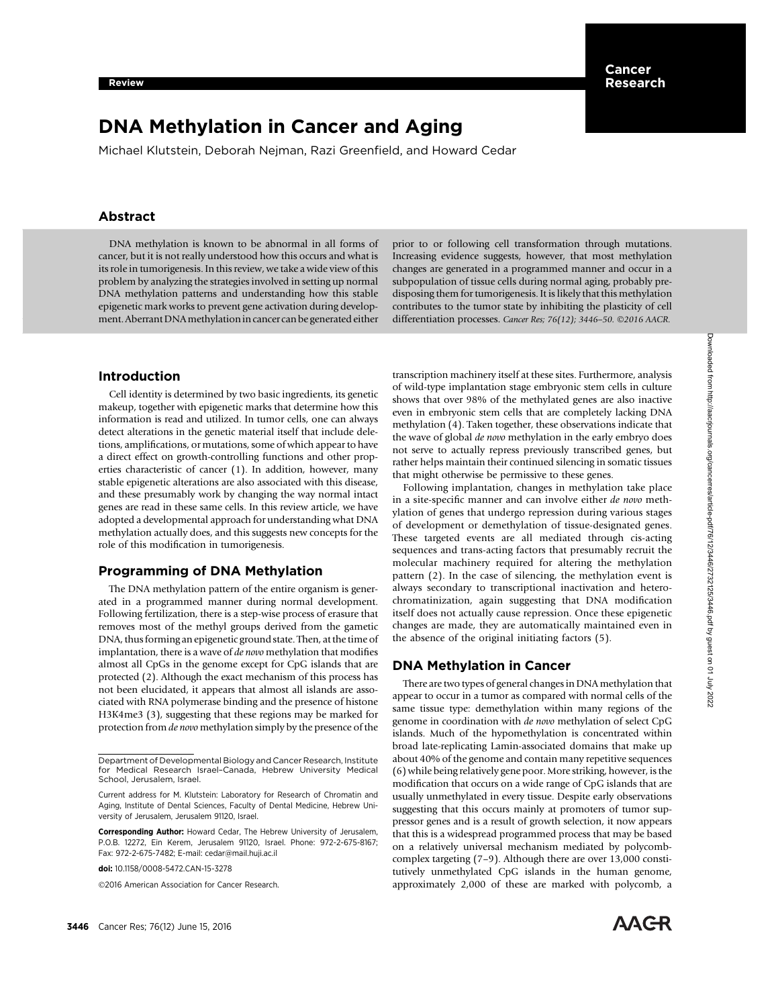# DNA Methylation in Cancer and Aging

Michael Klutstein, Deborah Nejman, Razi Greenfield, and Howard Cedar

# Abstract

DNA methylation is known to be abnormal in all forms of cancer, but it is not really understood how this occurs and what is its role in tumorigenesis. In this review, we take a wide view of this problem by analyzing the strategies involved in setting up normal DNA methylation patterns and understanding how this stable epigenetic mark works to prevent gene activation during development. Aberrant DNAmethylationin cancer can be generated either prior to or following cell transformation through mutations. Increasing evidence suggests, however, that most methylation changes are generated in a programmed manner and occur in a subpopulation of tissue cells during normal aging, probably predisposing them for tumorigenesis. It is likely that this methylation contributes to the tumor state by inhibiting the plasticity of cell differentiation processes. Cancer Res; 76(12); 3446-50. ©2016 AACR.

### Introduction

Cell identity is determined by two basic ingredients, its genetic makeup, together with epigenetic marks that determine how this information is read and utilized. In tumor cells, one can always detect alterations in the genetic material itself that include deletions, amplifications, or mutations, some of which appear to have a direct effect on growth-controlling functions and other properties characteristic of cancer (1). In addition, however, many stable epigenetic alterations are also associated with this disease, and these presumably work by changing the way normal intact genes are read in these same cells. In this review article, we have adopted a developmental approach for understanding what DNA methylation actually does, and this suggests new concepts for the role of this modification in tumorigenesis.

### Programming of DNA Methylation

The DNA methylation pattern of the entire organism is generated in a programmed manner during normal development. Following fertilization, there is a step-wise process of erasure that removes most of the methyl groups derived from the gametic DNA, thus forming an epigenetic ground state. Then, at the time of implantation, there is a wave of de novo methylation that modifies almost all CpGs in the genome except for CpG islands that are protected (2). Although the exact mechanism of this process has not been elucidated, it appears that almost all islands are associated with RNA polymerase binding and the presence of histone H3K4me3 (3), suggesting that these regions may be marked for protection from de novo methylation simply by the presence of the

2016 American Association for Cancer Research.

transcription machinery itself at these sites. Furthermore, analysis of wild-type implantation stage embryonic stem cells in culture shows that over 98% of the methylated genes are also inactive even in embryonic stem cells that are completely lacking DNA methylation (4). Taken together, these observations indicate that the wave of global de novo methylation in the early embryo does not serve to actually repress previously transcribed genes, but rather helps maintain their continued silencing in somatic tissues that might otherwise be permissive to these genes.

Following implantation, changes in methylation take place in a site-specific manner and can involve either de novo methylation of genes that undergo repression during various stages of development or demethylation of tissue-designated genes. These targeted events are all mediated through cis-acting sequences and trans-acting factors that presumably recruit the molecular machinery required for altering the methylation pattern (2). In the case of silencing, the methylation event is always secondary to transcriptional inactivation and heterochromatinization, again suggesting that DNA modification itself does not actually cause repression. Once these epigenetic changes are made, they are automatically maintained even in the absence of the original initiating factors (5).

### DNA Methylation in Cancer

There are two types of general changes in DNA methylation that appear to occur in a tumor as compared with normal cells of the same tissue type: demethylation within many regions of the genome in coordination with de novo methylation of select CpG islands. Much of the hypomethylation is concentrated within broad late-replicating Lamin-associated domains that make up about 40% of the genome and contain many repetitive sequences (6) while being relatively gene poor. More striking, however, is the modification that occurs on a wide range of CpG islands that are usually unmethylated in every tissue. Despite early observations suggesting that this occurs mainly at promoters of tumor suppressor genes and is a result of growth selection, it now appears that this is a widespread programmed process that may be based on a relatively universal mechanism mediated by polycombcomplex targeting (7–9). Although there are over 13,000 constitutively unmethylated CpG islands in the human genome, approximately 2,000 of these are marked with polycomb, a



Department of Developmental Biology and Cancer Research, Institute for Medical Research Israel–Canada, Hebrew University Medical School, Jerusalem, Israel.

Current address for M. Klutstein: Laboratory for Research of Chromatin and Aging, Institute of Dental Sciences, Faculty of Dental Medicine, Hebrew University of Jerusalem, Jerusalem 91120, Israel.

Corresponding Author: Howard Cedar, The Hebrew University of Jerusalem, P.O.B. 12272, Ein Kerem, Jerusalem 91120, Israel. Phone: 972-2-675-8167; Fax: 972-2-675-7482; E-mail: cedar@mail.huji.ac.il

doi: 10.1158/0008-5472.CAN-15-3278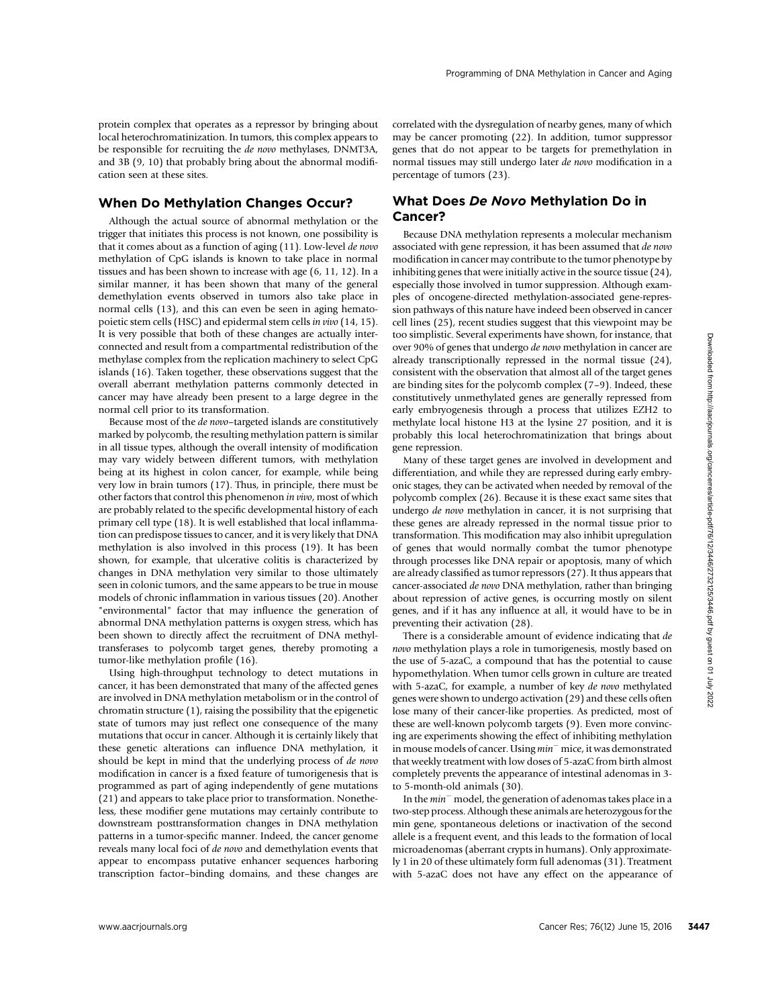protein complex that operates as a repressor by bringing about local heterochromatinization. In tumors, this complex appears to be responsible for recruiting the de novo methylases, DNMT3A, and 3B (9, 10) that probably bring about the abnormal modification seen at these sites.

## When Do Methylation Changes Occur?

Although the actual source of abnormal methylation or the trigger that initiates this process is not known, one possibility is that it comes about as a function of aging (11). Low-level de novo methylation of CpG islands is known to take place in normal tissues and has been shown to increase with age (6, 11, 12). In a similar manner, it has been shown that many of the general demethylation events observed in tumors also take place in normal cells (13), and this can even be seen in aging hematopoietic stem cells (HSC) and epidermal stem cells in vivo (14, 15). It is very possible that both of these changes are actually interconnected and result from a compartmental redistribution of the methylase complex from the replication machinery to select CpG islands (16). Taken together, these observations suggest that the overall aberrant methylation patterns commonly detected in cancer may have already been present to a large degree in the normal cell prior to its transformation.

Because most of the de novo–targeted islands are constitutively marked by polycomb, the resulting methylation pattern is similar in all tissue types, although the overall intensity of modification may vary widely between different tumors, with methylation being at its highest in colon cancer, for example, while being very low in brain tumors (17). Thus, in principle, there must be other factors that control this phenomenon in vivo, most of which are probably related to the specific developmental history of each primary cell type (18). It is well established that local inflammation can predispose tissues to cancer, and it is very likely that DNA methylation is also involved in this process (19). It has been shown, for example, that ulcerative colitis is characterized by changes in DNA methylation very similar to those ultimately seen in colonic tumors, and the same appears to be true in mouse models of chronic inflammation in various tissues (20). Another "environmental" factor that may influence the generation of abnormal DNA methylation patterns is oxygen stress, which has been shown to directly affect the recruitment of DNA methyltransferases to polycomb target genes, thereby promoting a tumor-like methylation profile (16). whenever Cancer Respectively. The method is the method of the method from the method from the method for the method from the respective articles in the method from the respective articles in the method from the respective

Using high-throughput technology to detect mutations in cancer, it has been demonstrated that many of the affected genes are involved in DNA methylation metabolism or in the control of chromatin structure (1), raising the possibility that the epigenetic state of tumors may just reflect one consequence of the many mutations that occur in cancer. Although it is certainly likely that these genetic alterations can influence DNA methylation, it should be kept in mind that the underlying process of de novo modification in cancer is a fixed feature of tumorigenesis that is programmed as part of aging independently of gene mutations (21) and appears to take place prior to transformation. Nonetheless, these modifier gene mutations may certainly contribute to downstream posttransformation changes in DNA methylation patterns in a tumor-specific manner. Indeed, the cancer genome reveals many local foci of de novo and demethylation events that appear to encompass putative enhancer sequences harboring transcription factor–binding domains, and these changes are correlated with the dysregulation of nearby genes, many of which may be cancer promoting (22). In addition, tumor suppressor genes that do not appear to be targets for premethylation in normal tissues may still undergo later de novo modification in a percentage of tumors (23).

# What Does De Novo Methylation Do in Cancer?

Because DNA methylation represents a molecular mechanism associated with gene repression, it has been assumed that de novo modification in cancer may contribute to the tumor phenotype by inhibiting genes that were initially active in the source tissue (24), especially those involved in tumor suppression. Although examples of oncogene-directed methylation-associated gene-repression pathways of this nature have indeed been observed in cancer cell lines (25), recent studies suggest that this viewpoint may be too simplistic. Several experiments have shown, for instance, that over 90% of genes that undergo de novo methylation in cancer are already transcriptionally repressed in the normal tissue (24), consistent with the observation that almost all of the target genes are binding sites for the polycomb complex (7–9). Indeed, these constitutively unmethylated genes are generally repressed from early embryogenesis through a process that utilizes EZH2 to methylate local histone H3 at the lysine 27 position, and it is probably this local heterochromatinization that brings about gene repression.

Many of these target genes are involved in development and differentiation, and while they are repressed during early embryonic stages, they can be activated when needed by removal of the polycomb complex (26). Because it is these exact same sites that undergo de novo methylation in cancer, it is not surprising that these genes are already repressed in the normal tissue prior to transformation. This modification may also inhibit upregulation of genes that would normally combat the tumor phenotype through processes like DNA repair or apoptosis, many of which are already classified as tumor repressors (27). It thus appears that cancer-associated de novo DNA methylation, rather than bringing about repression of active genes, is occurring mostly on silent genes, and if it has any influence at all, it would have to be in preventing their activation (28).

There is a considerable amount of evidence indicating that  $de$ novo methylation plays a role in tumorigenesis, mostly based on the use of 5-azaC, a compound that has the potential to cause hypomethylation. When tumor cells grown in culture are treated with 5-azaC, for example, a number of key de novo methylated genes were shown to undergo activation (29) and these cells often lose many of their cancer-like properties. As predicted, most of these are well-known polycomb targets (9). Even more convincing are experiments showing the effect of inhibiting methylation in mouse models of cancer. Using  $min<sup>-</sup>$  mice, it was demonstrated that weekly treatment with low doses of 5-azaC from birth almost completely prevents the appearance of intestinal adenomas in 3 to 5-month-old animals (30).

In the  $min<sup>-</sup>$  model, the generation of adenomas takes place in a two-step process. Although these animals are heterozygous for the min gene, spontaneous deletions or inactivation of the second allele is a frequent event, and this leads to the formation of local microadenomas (aberrant crypts in humans). Only approximately 1 in 20 of these ultimately form full adenomas (31). Treatment with 5-azaC does not have any effect on the appearance of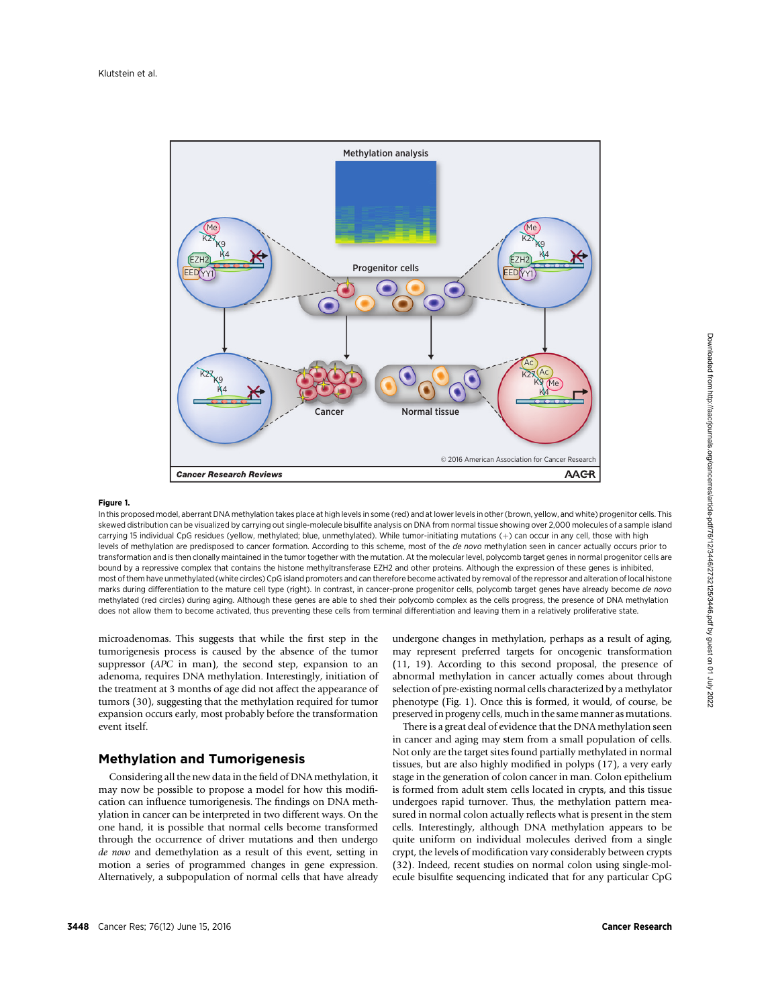

#### Figure 1.

In this proposed model, aberrant DNA methylation takes place at high levels in some (red) and at lower levels in other (brown, yellow, and white) progenitor cells. This skewed distribution can be visualized by carrying out single-molecule bisulfite analysis on DNA from normal tissue showing over 2,000 molecules of a sample island carrying 15 individual CpG residues (yellow, methylated; blue, unmethylated). While tumor-initiating mutations (+) can occur in any cell, those with high levels of methylation are predisposed to cancer formation. According to this scheme, most of the de novo methylation seen in cancer actually occurs prior to transformation and is then clonally maintained in the tumor together with the mutation. At the molecular level, polycomb target genes in normal progenitor cells are bound by a repressive complex that contains the histone methyltransferase EZH2 and other proteins. Although the expression of these genes is inhibited, most of them have unmethylated (white circles) CpG island promoters and can therefore become activated by removal of the repressor and alteration of local histone marks during differentiation to the mature cell type (right). In contrast, in cancer-prone progenitor cells, polycomb target genes have already become de novo methylated (red circles) during aging. Although these genes are able to shed their polycomb complex as the cells progress, the presence of DNA methylation does not allow them to become activated, thus preventing these cells from terminal differentiation and leaving them in a relatively proliferative state.

microadenomas. This suggests that while the first step in the tumorigenesis process is caused by the absence of the tumor suppressor (APC in man), the second step, expansion to an adenoma, requires DNA methylation. Interestingly, initiation of the treatment at 3 months of age did not affect the appearance of tumors (30), suggesting that the methylation required for tumor expansion occurs early, most probably before the transformation event itself.

### Methylation and Tumorigenesis

Considering all the new data in the field of DNA methylation, it may now be possible to propose a model for how this modification can influence tumorigenesis. The findings on DNA methylation in cancer can be interpreted in two different ways. On the one hand, it is possible that normal cells become transformed through the occurrence of driver mutations and then undergo de novo and demethylation as a result of this event, setting in motion a series of programmed changes in gene expression. Alternatively, a subpopulation of normal cells that have already

undergone changes in methylation, perhaps as a result of aging, may represent preferred targets for oncogenic transformation (11, 19). According to this second proposal, the presence of abnormal methylation in cancer actually comes about through selection of pre-existing normal cells characterized by a methylator phenotype (Fig. 1). Once this is formed, it would, of course, be preserved in progeny cells, much in the same manner as mutations.

There is a great deal of evidence that the DNA methylation seen in cancer and aging may stem from a small population of cells. Not only are the target sites found partially methylated in normal tissues, but are also highly modified in polyps (17), a very early stage in the generation of colon cancer in man. Colon epithelium is formed from adult stem cells located in crypts, and this tissue undergoes rapid turnover. Thus, the methylation pattern measured in normal colon actually reflects what is present in the stem cells. Interestingly, although DNA methylation appears to be quite uniform on individual molecules derived from a single crypt, the levels of modification vary considerably between crypts (32). Indeed, recent studies on normal colon using single-molecule bisulfite sequencing indicated that for any particular CpG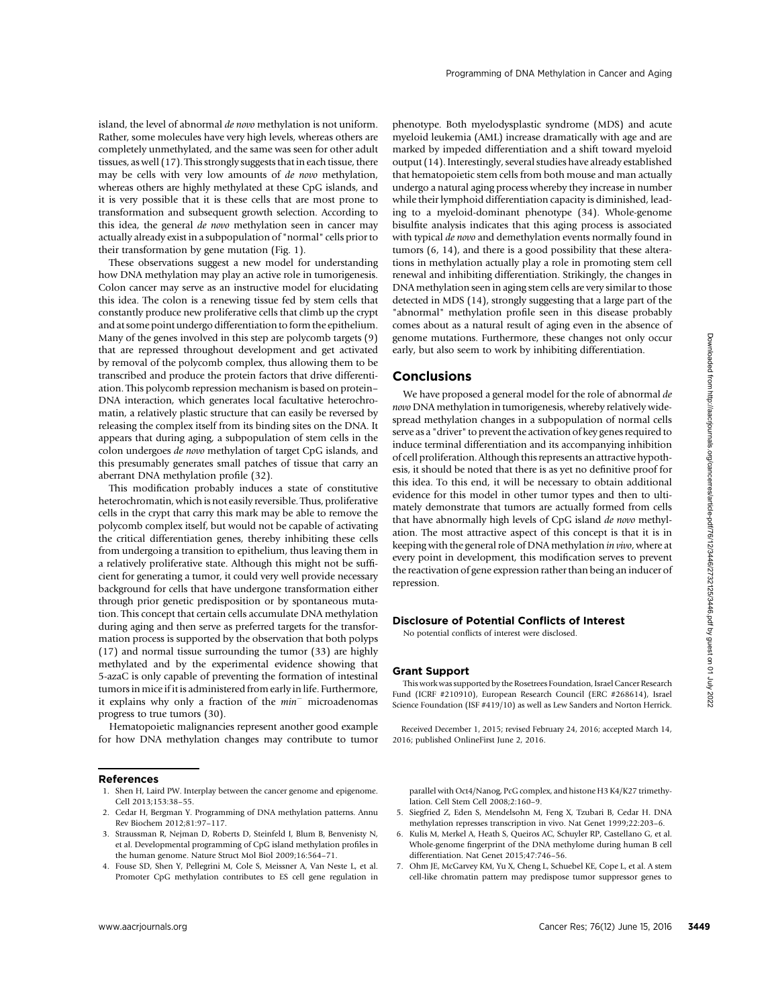island, the level of abnormal de novo methylation is not uniform. Rather, some molecules have very high levels, whereas others are completely unmethylated, and the same was seen for other adult tissues, as well (17). This strongly suggests that in each tissue, there may be cells with very low amounts of de novo methylation, whereas others are highly methylated at these CpG islands, and it is very possible that it is these cells that are most prone to transformation and subsequent growth selection. According to this idea, the general de novo methylation seen in cancer may actually already exist in a subpopulation of "normal" cells prior to their transformation by gene mutation (Fig. 1).

These observations suggest a new model for understanding how DNA methylation may play an active role in tumorigenesis. Colon cancer may serve as an instructive model for elucidating this idea. The colon is a renewing tissue fed by stem cells that constantly produce new proliferative cells that climb up the crypt and at some point undergo differentiation to form the epithelium. Many of the genes involved in this step are polycomb targets (9) that are repressed throughout development and get activated by removal of the polycomb complex, thus allowing them to be transcribed and produce the protein factors that drive differentiation. This polycomb repression mechanism is based on protein– DNA interaction, which generates local facultative heterochromatin, a relatively plastic structure that can easily be reversed by releasing the complex itself from its binding sites on the DNA. It appears that during aging, a subpopulation of stem cells in the colon undergoes de novo methylation of target CpG islands, and this presumably generates small patches of tissue that carry an aberrant DNA methylation profile (32).

This modification probably induces a state of constitutive heterochromatin, which is not easily reversible. Thus, proliferative cells in the crypt that carry this mark may be able to remove the polycomb complex itself, but would not be capable of activating the critical differentiation genes, thereby inhibiting these cells from undergoing a transition to epithelium, thus leaving them in a relatively proliferative state. Although this might not be sufficient for generating a tumor, it could very well provide necessary background for cells that have undergone transformation either through prior genetic predisposition or by spontaneous mutation. This concept that certain cells accumulate DNA methylation during aging and then serve as preferred targets for the transformation process is supported by the observation that both polyps (17) and normal tissue surrounding the tumor (33) are highly methylated and by the experimental evidence showing that 5-azaC is only capable of preventing the formation of intestinal tumors in mice if it is administered from early in life. Furthermore, it explains why only a fraction of the  $min^-$  microadenomas progress to true tumors (30).

Hematopoietic malignancies represent another good example for how DNA methylation changes may contribute to tumor

References

- 1. Shen H, Laird PW. Interplay between the cancer genome and epigenome. Cell 2013;153:38–55.
- 2. Cedar H, Bergman Y. Programming of DNA methylation patterns. Annu Rev Biochem 2012;81:97–117.
- 3. Straussman R, Nejman D, Roberts D, Steinfeld I, Blum B, Benvenisty N, et al. Developmental programming of CpG island methylation profiles in the human genome. Nature Struct Mol Biol 2009;16:564–71.
- 4. Fouse SD, Shen Y, Pellegrini M, Cole S, Meissner A, Van Neste L, et al. Promoter CpG methylation contributes to ES cell gene regulation in

phenotype. Both myelodysplastic syndrome (MDS) and acute myeloid leukemia (AML) increase dramatically with age and are marked by impeded differentiation and a shift toward myeloid output (14). Interestingly, several studies have already established that hematopoietic stem cells from both mouse and man actually undergo a natural aging process whereby they increase in number while their lymphoid differentiation capacity is diminished, leading to a myeloid-dominant phenotype (34). Whole-genome bisulfite analysis indicates that this aging process is associated with typical de novo and demethylation events normally found in tumors (6, 14), and there is a good possibility that these alterations in methylation actually play a role in promoting stem cell renewal and inhibiting differentiation. Strikingly, the changes in DNA methylation seen in aging stem cells are very similar to those detected in MDS (14), strongly suggesting that a large part of the "abnormal" methylation profile seen in this disease probably comes about as a natural result of aging even in the absence of genome mutations. Furthermore, these changes not only occur early, but also seem to work by inhibiting differentiation.

### Conclusions

We have proposed a general model for the role of abnormal de novo DNA methylation in tumorigenesis, whereby relatively widespread methylation changes in a subpopulation of normal cells serve as a "driver" to prevent the activation of key genes required to induce terminal differentiation and its accompanying inhibition of cell proliferation. Although this represents an attractive hypothesis, it should be noted that there is as yet no definitive proof for this idea. To this end, it will be necessary to obtain additional evidence for this model in other tumor types and then to ultimately demonstrate that tumors are actually formed from cells that have abnormally high levels of CpG island de novo methylation. The most attractive aspect of this concept is that it is in keeping with the general role of DNA methylation in vivo, where at every point in development, this modification serves to prevent the reactivation of gene expression rather than being an inducer of repression.

#### Disclosure of Potential Conflicts of Interest

No potential conflicts of interest were disclosed.

#### Grant Support

This work was supported by the Rosetrees Foundation, Israel Cancer Research Fund (ICRF #210910), European Research Council (ERC #268614), Israel Science Foundation (ISF #419/10) as well as Lew Sanders and Norton Herrick.

Received December 1, 2015; revised February 24, 2016; accepted March 14, 2016; published OnlineFirst June 2, 2016.

parallel with Oct4/Nanog, PcG complex, and histone H3 K4/K27 trimethylation. Cell Stem Cell 2008;2:160–9.

- 5. Siegfried Z, Eden S, Mendelsohn M, Feng X, Tzubari B, Cedar H. DNA methylation represses transcription in vivo. Nat Genet 1999;22:203–6.
- 6. Kulis M, Merkel A, Heath S, Queiros AC, Schuyler RP, Castellano G, et al. Whole-genome fingerprint of the DNA methylome during human B cell differentiation. Nat Genet 2015;47:746–56.
- 7. Ohm JE, McGarvey KM, Yu X, Cheng L, Schuebel KE, Cope L, et al. A stem cell-like chromatin pattern may predispose tumor suppressor genes to